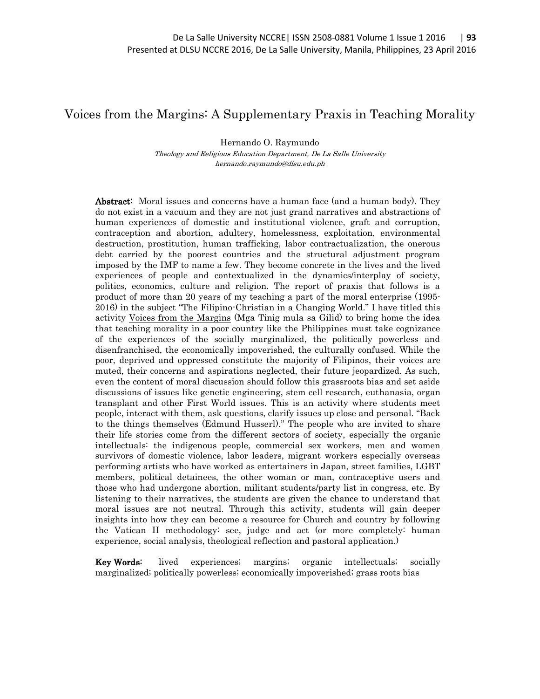## Voices from the Margins: A Supplementary Praxis in Teaching Morality

Hernando O. Raymundo

Theology and Religious Education Department, De La Salle University hernando.raymundo@dlsu.edu.ph

Abstract: Moral issues and concerns have a human face (and a human body). They do not exist in a vacuum and they are not just grand narratives and abstractions of human experiences of domestic and institutional violence, graft and corruption, contraception and abortion, adultery, homelessness, exploitation, environmental destruction, prostitution, human trafficking, labor contractualization, the onerous debt carried by the poorest countries and the structural adjustment program imposed by the IMF to name a few. They become concrete in the lives and the lived experiences of people and contextualized in the dynamics/interplay of society, politics, economics, culture and religion. The report of praxis that follows is a product of more than 20 years of my teaching a part of the moral enterprise (1995- 2016) in the subject "The Filipino-Christian in a Changing World." I have titled this activity Voices from the Margins (Mga Tinig mula sa Gilid) to bring home the idea that teaching morality in a poor country like the Philippines must take cognizance of the experiences of the socially marginalized, the politically powerless and disenfranchised, the economically impoverished, the culturally confused. While the poor, deprived and oppressed constitute the majority of Filipinos, their voices are muted, their concerns and aspirations neglected, their future jeopardized. As such, even the content of moral discussion should follow this grassroots bias and set aside discussions of issues like genetic engineering, stem cell research, euthanasia, organ transplant and other First World issues. This is an activity where students meet people, interact with them, ask questions, clarify issues up close and personal. "Back to the things themselves (Edmund Husserl)." The people who are invited to share their life stories come from the different sectors of society, especially the organic intellectuals: the indigenous people, commercial sex workers, men and women survivors of domestic violence, labor leaders, migrant workers especially overseas performing artists who have worked as entertainers in Japan, street families, LGBT members, political detainees, the other woman or man, contraceptive users and those who had undergone abortion, militant students/party list in congress, etc. By listening to their narratives, the students are given the chance to understand that moral issues are not neutral. Through this activity, students will gain deeper insights into how they can become a resource for Church and country by following the Vatican II methodology: see, judge and act (or more completely: human experience, social analysis, theological reflection and pastoral application.)

Key Words: lived experiences; margins; organic intellectuals; socially marginalized; politically powerless; economically impoverished; grass roots bias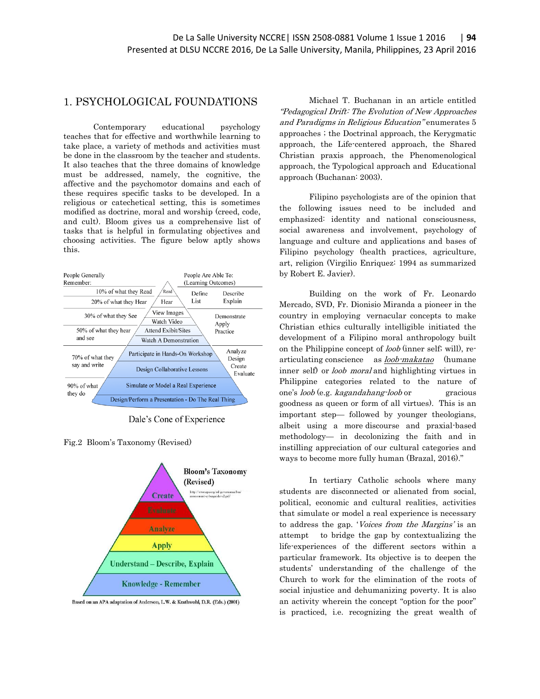## 1. PSYCHOLOGICAL FOUNDATIONS

Contemporary educational psychology teaches that for effective and worthwhile learning to take place, a variety of methods and activities must be done in the classroom by the teacher and students. It also teaches that the three domains of knowledge must be addressed, namely, the cognitive, the affective and the psychomotor domains and each of these requires specific tasks to be developed. In a religious or catechetical setting, this is sometimes modified as doctrine, moral and worship (creed, code, and cult). Bloom gives us a comprehensive list of tasks that is helpful in formulating objectives and choosing activities. The figure below aptly shows this.



Dale's Cone of Experience

Fig.2 Bloom's Taxonomy (Revised)



Based on an APA adaptation of Anderson, L.W. & Krathwohl, D.R. (Eds.) (2001)

Michael T. Buchanan in an article entitled "Pedagogical Drift: The Evolution of New Approaches and Paradigms in Religious Education" enumerates 5 approaches ; the Doctrinal approach, the Kerygmatic approach, the Life-centered approach, the Shared Christian praxis approach, the Phenomenological approach, the Typological approach and Educational approach (Buchanan: 2003).

Filipino psychologists are of the opinion that the following issues need to be included and emphasized: identity and national consciousness, social awareness and involvement, psychology of language and culture and applications and bases of Filipino psychology (health practices, agriculture, art, religion (Virgilio Enriquez: 1994 as summarized by Robert E. Javier).

Building on the work of Fr. Leonardo Mercado, SVD, Fr. Dionisio Miranda a pioneer in the country in employing vernacular concepts to make Christian ethics culturally intelligible initiated the development of a Filipino moral anthropology built on the Philippine concept of loob (inner self; will), rearticulating [conscience](http://nbdb.gov.ph/nbdb-awb/index.php?filter=K) as **loob**-makatao (humane inner self) or loob moral and highlighting virtues in Philippine categories related to the nature of one's loob (e.g. kagandahang-loob or gracious goodness as queen or form of all virtues). This is an important step— followed by younger theologians, albeit using a more discourse and [praxial-based](http://files.ctewc.gethifi.com/news/read-the-newly-posted-article-from-agnes-brazal/Brazal_Redeeming_the_Vernacular.pdf) [methodology](http://files.ctewc.gethifi.com/news/read-the-newly-posted-article-from-agnes-brazal/Brazal_Redeeming_the_Vernacular.pdf)— in decolonizing the faith and in instilling appreciation of our cultural categories and ways to become more fully human (Brazal, 2016)."

In tertiary Catholic schools where many students are disconnected or alienated from social, political, economic and cultural realities, activities that simulate or model a real experience is necessary to address the gap. 'Voices from the Margins' is an attempt to bridge the gap by contextualizing the life-experiences of the different sectors within a particular framework. Its objective is to deepen the students' understanding of the challenge of the Church to work for the elimination of the roots of social injustice and dehumanizing poverty. It is also an activity wherein the concept "option for the poor" is practiced, i.e. recognizing the great wealth of